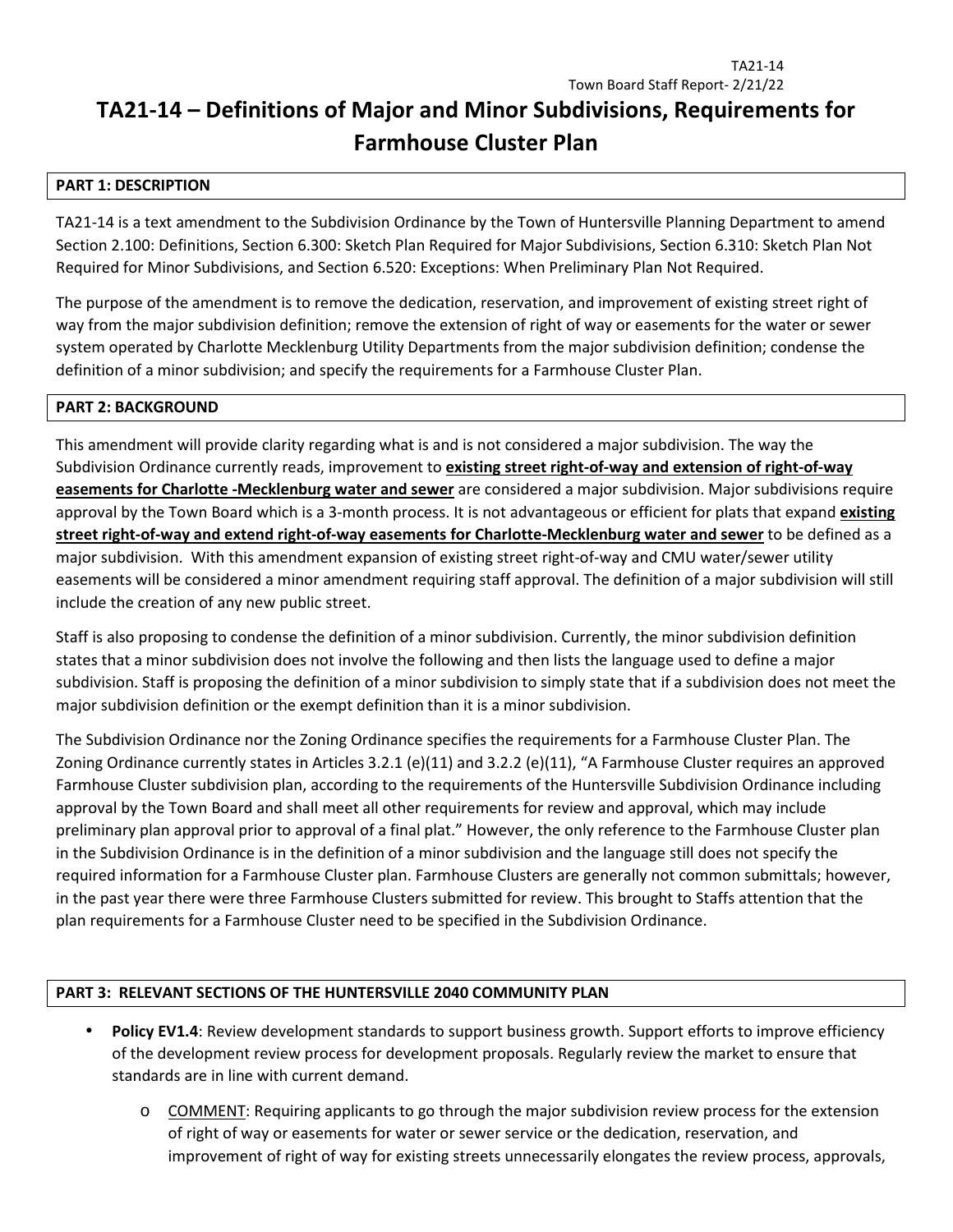# **TA21-14 – Definitions of Major and Minor Subdivisions, Requirements for Farmhouse Cluster Plan**

### **PART 1: DESCRIPTION**

TA21-14 is a text amendment to the Subdivision Ordinance by the Town of Huntersville Planning Department to amend Section 2.100: Definitions, Section 6.300: Sketch Plan Required for Major Subdivisions, Section 6.310: Sketch Plan Not Required for Minor Subdivisions, and Section 6.520: Exceptions: When Preliminary Plan Not Required.

The purpose of the amendment is to remove the dedication, reservation, and improvement of existing street right of way from the major subdivision definition; remove the extension of right of way or easements for the water or sewer system operated by Charlotte Mecklenburg Utility Departments from the major subdivision definition; condense the definition of a minor subdivision; and specify the requirements for a Farmhouse Cluster Plan.

#### **PART 2: BACKGROUND**

This amendment will provide clarity regarding what is and is not considered a major subdivision. The way the Subdivision Ordinance currently reads, improvement to **existing street right-of-way and extension of right-of-way easements for Charlotte -Mecklenburg water and sewer** are considered a major subdivision. Major subdivisions require approval by the Town Board which is a 3-month process. It is not advantageous or efficient for plats that expand **existing street right-of-way and extend right-of-way easements for Charlotte-Mecklenburg water and sewer** to be defined as a major subdivision. With this amendment expansion of existing street right-of-way and CMU water/sewer utility easements will be considered a minor amendment requiring staff approval. The definition of a major subdivision will still include the creation of any new public street.

Staff is also proposing to condense the definition of a minor subdivision. Currently, the minor subdivision definition states that a minor subdivision does not involve the following and then lists the language used to define a major subdivision. Staff is proposing the definition of a minor subdivision to simply state that if a subdivision does not meet the major subdivision definition or the exempt definition than it is a minor subdivision.

The Subdivision Ordinance nor the Zoning Ordinance specifies the requirements for a Farmhouse Cluster Plan. The Zoning Ordinance currently states in Articles 3.2.1 (e)(11) and 3.2.2 (e)(11), "A Farmhouse Cluster requires an approved Farmhouse Cluster subdivision plan, according to the requirements of the Huntersville Subdivision Ordinance including approval by the Town Board and shall meet all other requirements for review and approval, which may include preliminary plan approval prior to approval of a final plat." However, the only reference to the Farmhouse Cluster plan in the Subdivision Ordinance is in the definition of a minor subdivision and the language still does not specify the required information for a Farmhouse Cluster plan. Farmhouse Clusters are generally not common submittals; however, in the past year there were three Farmhouse Clusters submitted for review. This brought to Staffs attention that the plan requirements for a Farmhouse Cluster need to be specified in the Subdivision Ordinance.

### **PART 3: RELEVANT SECTIONS OF THE HUNTERSVILLE 2040 COMMUNITY PLAN**

- **Policy EV1.4**: Review development standards to support business growth. Support efforts to improve efficiency of the development review process for development proposals. Regularly review the market to ensure that standards are in line with current demand.
	- o COMMENT: Requiring applicants to go through the major subdivision review process for the extension of right of way or easements for water or sewer service or the dedication, reservation, and improvement of right of way for existing streets unnecessarily elongates the review process, approvals,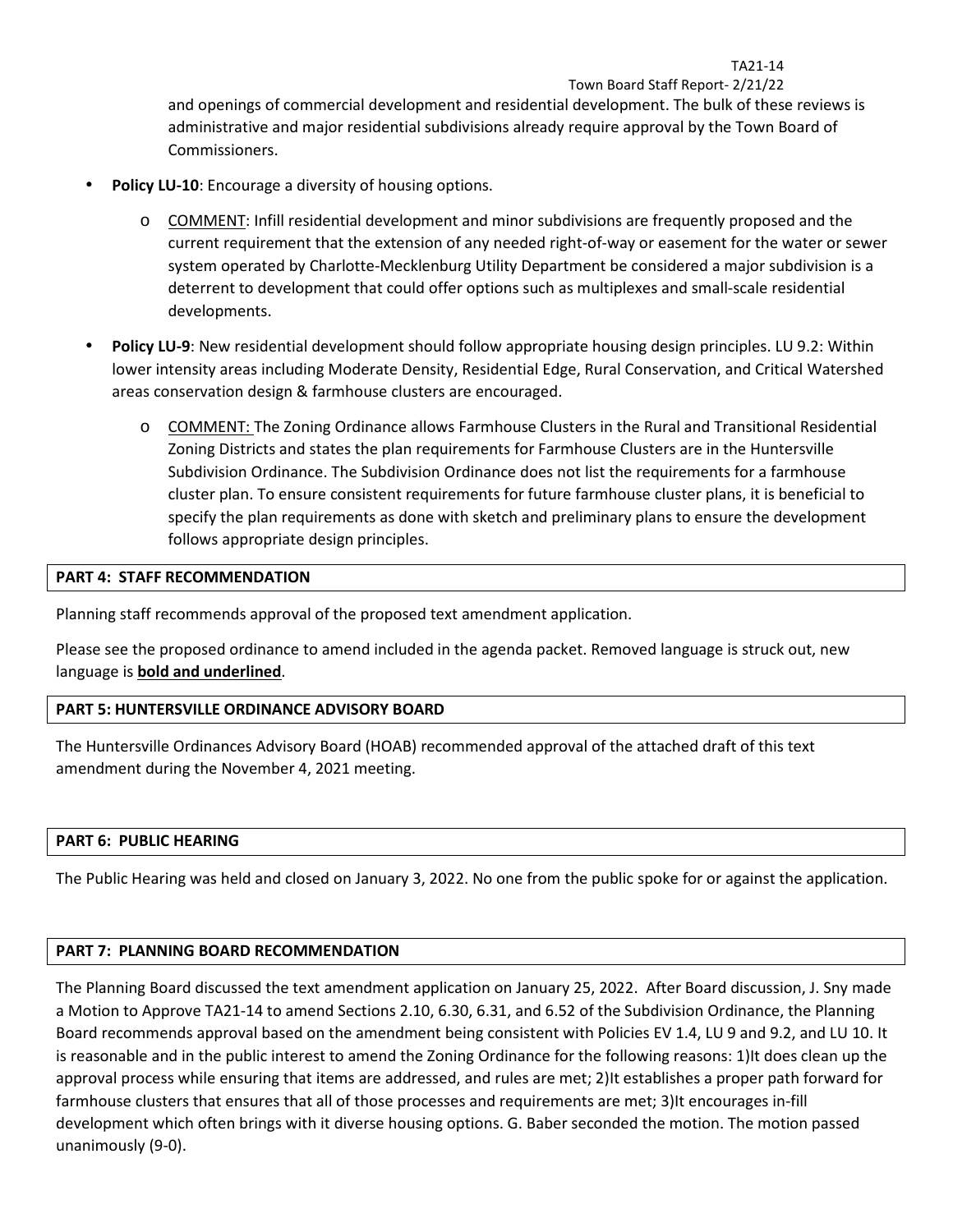Town Board Staff Report- 2/21/22 and openings of commercial development and residential development. The bulk of these reviews is administrative and major residential subdivisions already require approval by the Town Board of Commissioners.

TA21-14

- Policy LU-10: Encourage a diversity of housing options.
	- o COMMENT: Infill residential development and minor subdivisions are frequently proposed and the current requirement that the extension of any needed right-of-way or easement for the water or sewer system operated by Charlotte-Mecklenburg Utility Department be considered a major subdivision is a deterrent to development that could offer options such as multiplexes and small-scale residential developments.
- **Policy LU-9**: New residential development should follow appropriate housing design principles. LU 9.2: Within lower intensity areas including Moderate Density, Residential Edge, Rural Conservation, and Critical Watershed areas conservation design & farmhouse clusters are encouraged.
	- o COMMENT: The Zoning Ordinance allows Farmhouse Clusters in the Rural and Transitional Residential Zoning Districts and states the plan requirements for Farmhouse Clusters are in the Huntersville Subdivision Ordinance. The Subdivision Ordinance does not list the requirements for a farmhouse cluster plan. To ensure consistent requirements for future farmhouse cluster plans, it is beneficial to specify the plan requirements as done with sketch and preliminary plans to ensure the development follows appropriate design principles.

### **PART 4: STAFF RECOMMENDATION**

Planning staff recommends approval of the proposed text amendment application.

Please see the proposed ordinance to amend included in the agenda packet. Removed language is struck out, new language is **bold and underlined**.

### **PART 5: HUNTERSVILLE ORDINANCE ADVISORY BOARD**

The Huntersville Ordinances Advisory Board (HOAB) recommended approval of the attached draft of this text amendment during the November 4, 2021 meeting.

#### **PART 6: PUBLIC HEARING**

The Public Hearing was held and closed on January 3, 2022. No one from the public spoke for or against the application.

#### **PART 7: PLANNING BOARD RECOMMENDATION**

The Planning Board discussed the text amendment application on January 25, 2022. After Board discussion, J. Sny made a Motion to Approve TA21-14 to amend Sections 2.10, 6.30, 6.31, and 6.52 of the Subdivision Ordinance, the Planning Board recommends approval based on the amendment being consistent with Policies EV 1.4, LU 9 and 9.2, and LU 10. It is reasonable and in the public interest to amend the Zoning Ordinance for the following reasons: 1)It does clean up the approval process while ensuring that items are addressed, and rules are met; 2)It establishes a proper path forward for farmhouse clusters that ensures that all of those processes and requirements are met; 3)It encourages in-fill development which often brings with it diverse housing options. G. Baber seconded the motion. The motion passed unanimously (9-0).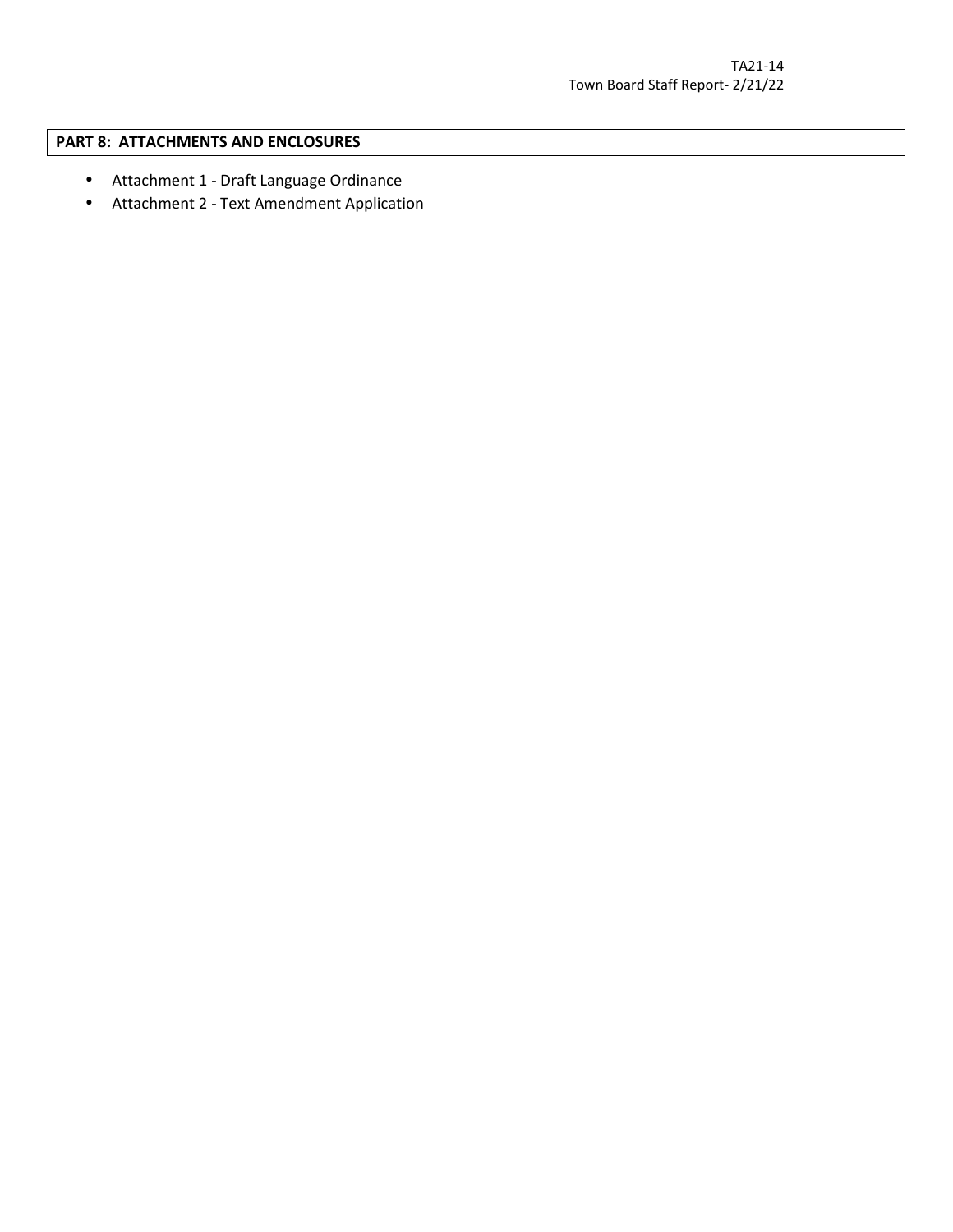## **PART 8: ATTACHMENTS AND ENCLOSURES**

- Attachment 1 Draft Language Ordinance
- Attachment 2 Text Amendment Application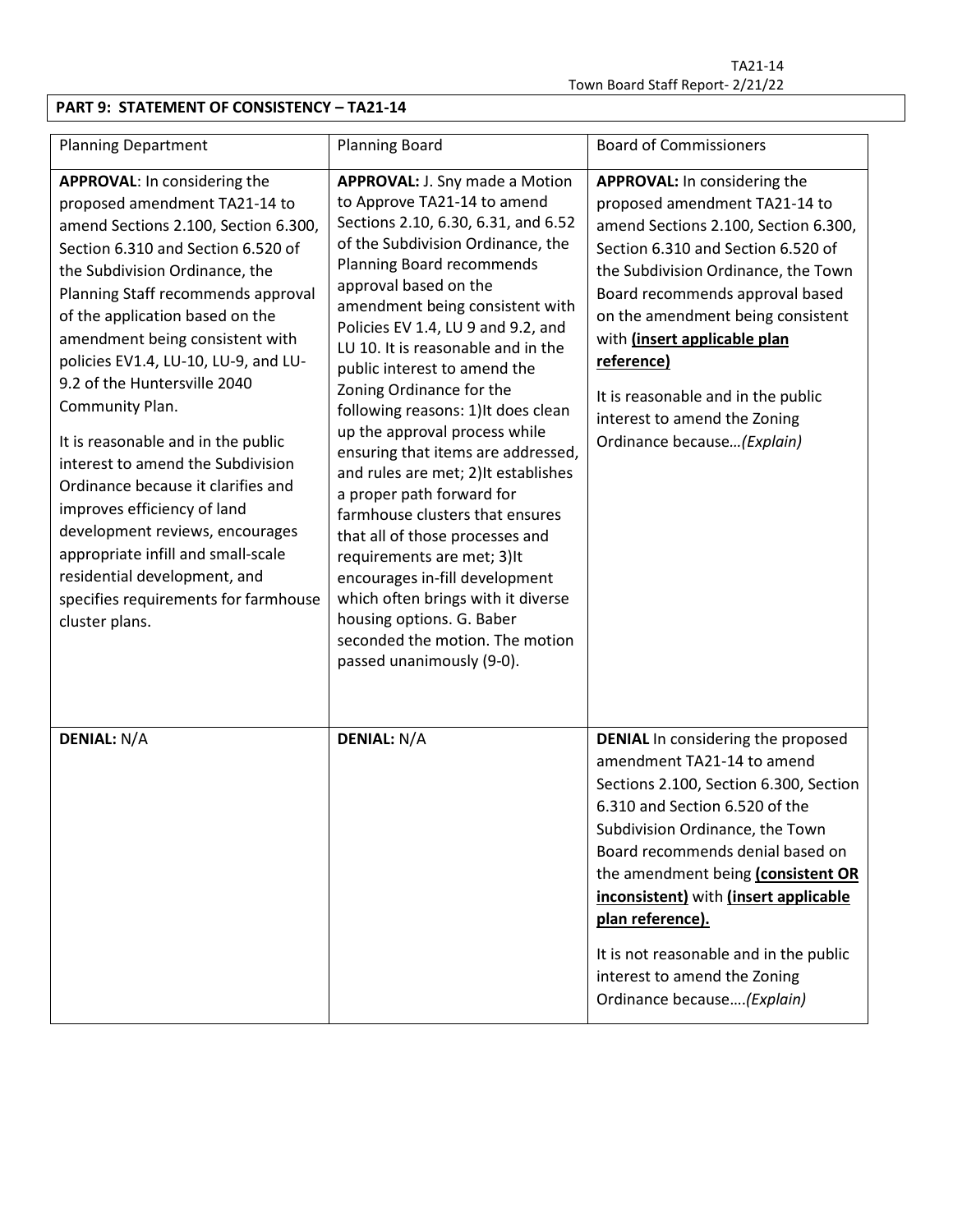# **PART 9: STATEMENT OF CONSISTENCY – TA21-14**

| <b>Planning Department</b>                                                                                                                                                                                                                                                                                                                                                                                                                                                                                                                                                                                                                                                                              | <b>Planning Board</b>                                                                                                                                                                                                                                                                                                                                                                                                                                                                                                                                                                                                                                                                                                                                                                                                                          | <b>Board of Commissioners</b>                                                                                                                                                                                                                                                                                                                                                                                                          |
|---------------------------------------------------------------------------------------------------------------------------------------------------------------------------------------------------------------------------------------------------------------------------------------------------------------------------------------------------------------------------------------------------------------------------------------------------------------------------------------------------------------------------------------------------------------------------------------------------------------------------------------------------------------------------------------------------------|------------------------------------------------------------------------------------------------------------------------------------------------------------------------------------------------------------------------------------------------------------------------------------------------------------------------------------------------------------------------------------------------------------------------------------------------------------------------------------------------------------------------------------------------------------------------------------------------------------------------------------------------------------------------------------------------------------------------------------------------------------------------------------------------------------------------------------------------|----------------------------------------------------------------------------------------------------------------------------------------------------------------------------------------------------------------------------------------------------------------------------------------------------------------------------------------------------------------------------------------------------------------------------------------|
| APPROVAL: In considering the<br>proposed amendment TA21-14 to<br>amend Sections 2.100, Section 6.300,<br>Section 6.310 and Section 6.520 of<br>the Subdivision Ordinance, the<br>Planning Staff recommends approval<br>of the application based on the<br>amendment being consistent with<br>policies EV1.4, LU-10, LU-9, and LU-<br>9.2 of the Huntersville 2040<br>Community Plan.<br>It is reasonable and in the public<br>interest to amend the Subdivision<br>Ordinance because it clarifies and<br>improves efficiency of land<br>development reviews, encourages<br>appropriate infill and small-scale<br>residential development, and<br>specifies requirements for farmhouse<br>cluster plans. | <b>APPROVAL: J. Sny made a Motion</b><br>to Approve TA21-14 to amend<br>Sections 2.10, 6.30, 6.31, and 6.52<br>of the Subdivision Ordinance, the<br>Planning Board recommends<br>approval based on the<br>amendment being consistent with<br>Policies EV 1.4, LU 9 and 9.2, and<br>LU 10. It is reasonable and in the<br>public interest to amend the<br>Zoning Ordinance for the<br>following reasons: 1) It does clean<br>up the approval process while<br>ensuring that items are addressed,<br>and rules are met; 2) It establishes<br>a proper path forward for<br>farmhouse clusters that ensures<br>that all of those processes and<br>requirements are met; 3) It<br>encourages in-fill development<br>which often brings with it diverse<br>housing options. G. Baber<br>seconded the motion. The motion<br>passed unanimously (9-0). | <b>APPROVAL:</b> In considering the<br>proposed amendment TA21-14 to<br>amend Sections 2.100, Section 6.300,<br>Section 6.310 and Section 6.520 of<br>the Subdivision Ordinance, the Town<br>Board recommends approval based<br>on the amendment being consistent<br>with (insert applicable plan<br>reference)<br>It is reasonable and in the public<br>interest to amend the Zoning<br>Ordinance because (Explain)                   |
| <b>DENIAL: N/A</b>                                                                                                                                                                                                                                                                                                                                                                                                                                                                                                                                                                                                                                                                                      | <b>DENIAL: N/A</b>                                                                                                                                                                                                                                                                                                                                                                                                                                                                                                                                                                                                                                                                                                                                                                                                                             | <b>DENIAL</b> In considering the proposed<br>amendment TA21-14 to amend<br>Sections 2.100, Section 6.300, Section<br>6.310 and Section 6.520 of the<br>Subdivision Ordinance, the Town<br>Board recommends denial based on<br>the amendment being (consistent OR<br>inconsistent) with (insert applicable<br>plan reference).<br>It is not reasonable and in the public<br>interest to amend the Zoning<br>Ordinance because (Explain) |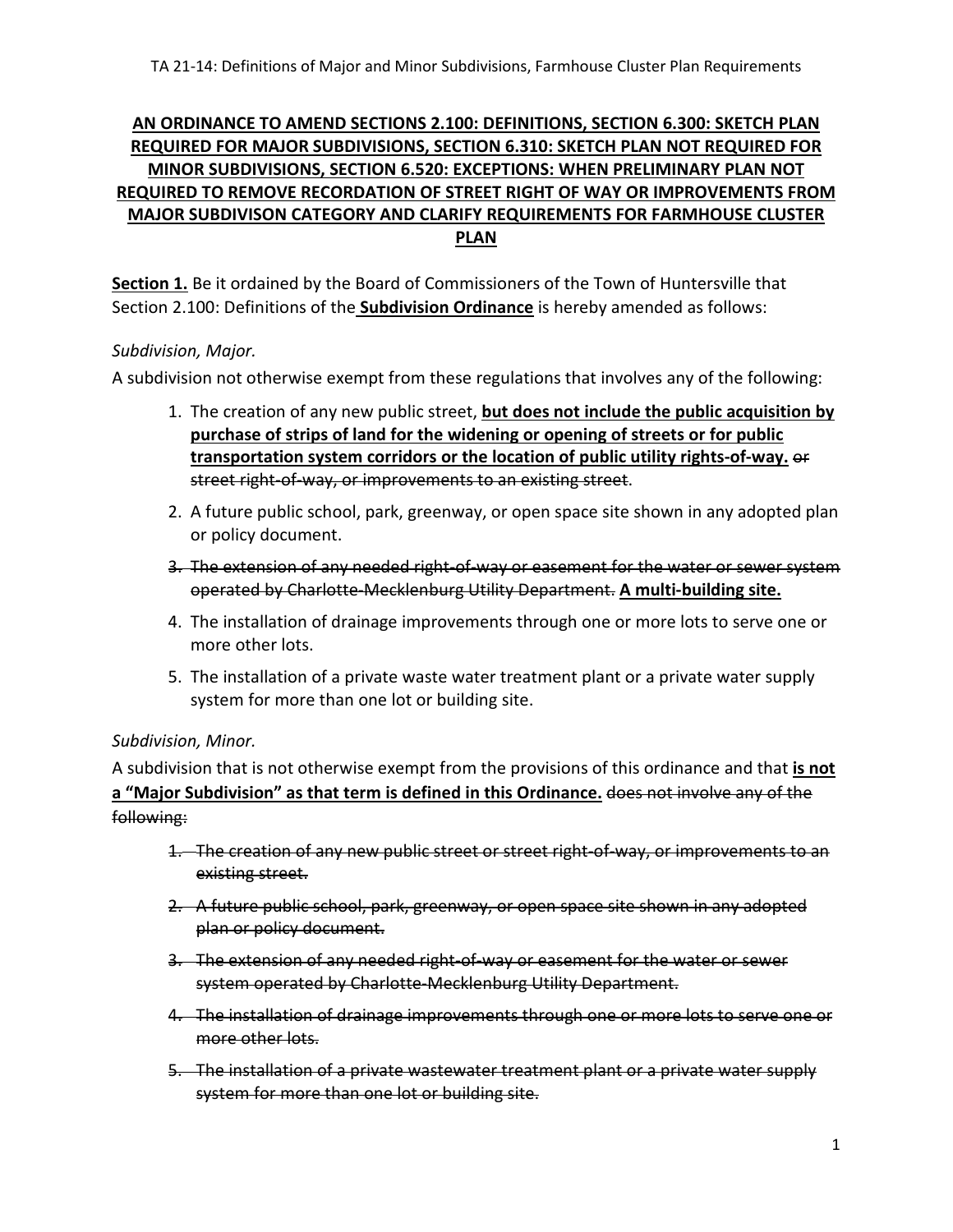# **AN ORDINANCE TO AMEND SECTIONS 2.100: DEFINITIONS, SECTION 6.300: SKETCH PLAN REQUIRED FOR MAJOR SUBDIVISIONS, SECTION 6.310: SKETCH PLAN NOT REQUIRED FOR MINOR SUBDIVISIONS, SECTION 6.520: EXCEPTIONS: WHEN PRELIMINARY PLAN NOT REQUIRED TO REMOVE RECORDATION OF STREET RIGHT OF WAY OR IMPROVEMENTS FROM MAJOR SUBDIVISON CATEGORY AND CLARIFY REQUIREMENTS FOR FARMHOUSE CLUSTER PLAN**

**Section 1.** Be it ordained by the Board of Commissioners of the Town of Huntersville that Section 2.100: Definitions of the **Subdivision Ordinance** is hereby amended as follows:

# *Subdivision, Major.*

A subdivision not otherwise exempt from these regulations that involves any of the following:

- 1. The creation of any new public street, **but does not include the public acquisition by purchase of strips of land for the widening or opening of streets or for public transportation system corridors or the location of public utility rights-of-way.** or street right-of-way, or improvements to an existing street.
- 2. A future public school, park, greenway, or open space site shown in any adopted plan or policy document.
- 3. The extension of any needed right-of-way or easement for the water or sewer system operated by Charlotte-Mecklenburg Utility Department. **A multi-building site.**
- 4. The installation of drainage improvements through one or more lots to serve one or more other lots.
- 5. The installation of a private waste water treatment plant or a private water supply system for more than one lot or building site.

# *Subdivision, Minor.*

A subdivision that is not otherwise exempt from the provisions of this ordinance and that **is not a "Major Subdivision" as that term is defined in this Ordinance.** does not involve any of the following:

- 1. The creation of any new public street or street right-of-way, or improvements to an existing street.
- 2. A future public school, park, greenway, or open space site shown in any adopted plan or policy document.
- 3. The extension of any needed right-of-way or easement for the water or sewer system operated by Charlotte-Mecklenburg Utility Department.
- 4. The installation of drainage improvements through one or more lots to serve one or more other lots.
- 5. The installation of a private wastewater treatment plant or a private water supply system for more than one lot or building site.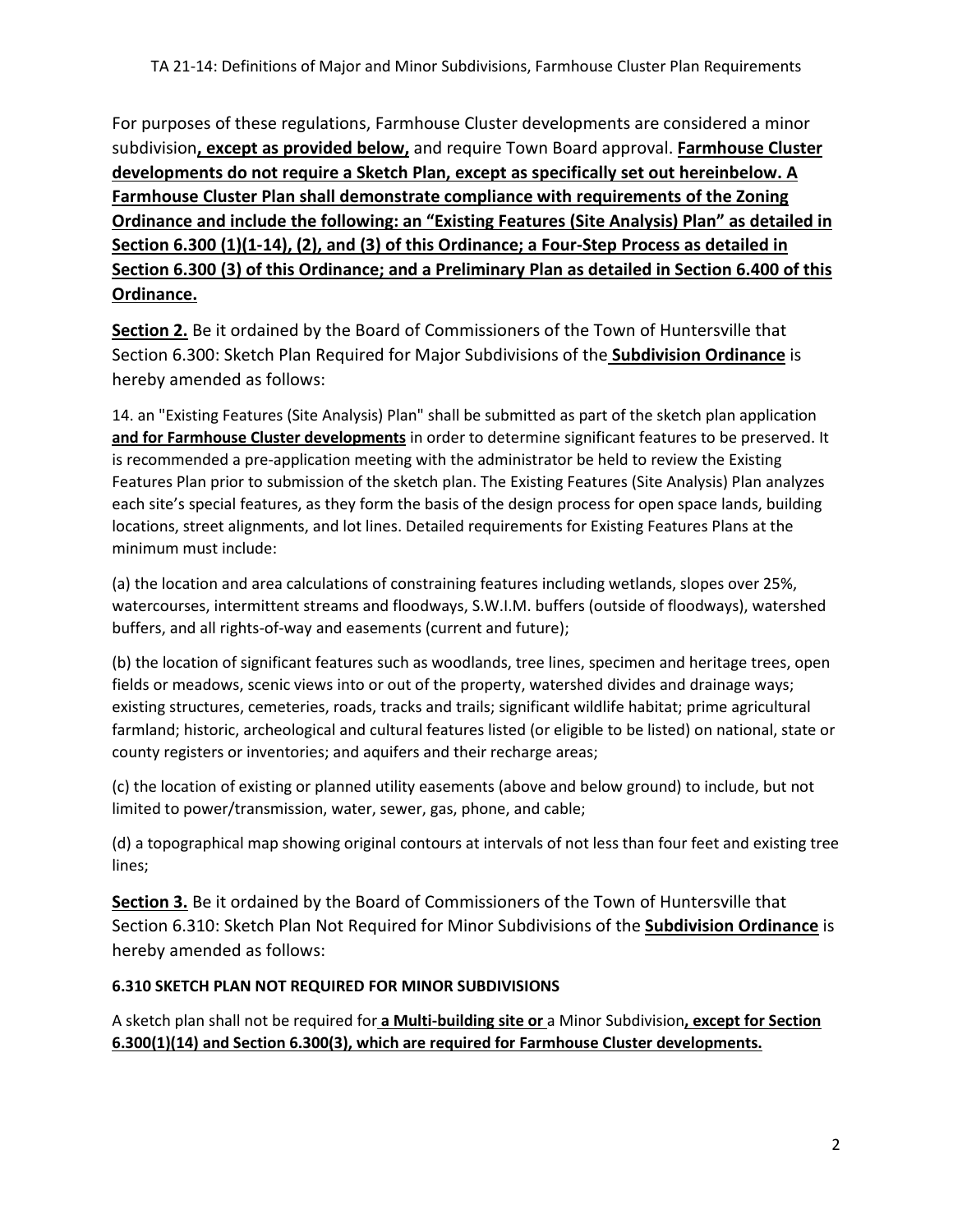For purposes of these regulations, Farmhouse Cluster developments are considered a minor subdivision**, except as provided below,** and require Town Board approval. **Farmhouse Cluster developments do not require a Sketch Plan, except as specifically set out hereinbelow. A Farmhouse Cluster Plan shall demonstrate compliance with requirements of the Zoning Ordinance and include the following: an "Existing Features (Site Analysis) Plan" as detailed in Section 6.300 (1)(1-14), (2), and (3) of this Ordinance; a Four-Step Process as detailed in Section 6.300 (3) of this Ordinance; and a Preliminary Plan as detailed in Section 6.400 of this Ordinance.** 

**Section 2.** Be it ordained by the Board of Commissioners of the Town of Huntersville that Section 6.300: Sketch Plan Required for Major Subdivisions of the **Subdivision Ordinance** is hereby amended as follows:

14. an "Existing Features (Site Analysis) Plan" shall be submitted as part of the sketch plan application **and for Farmhouse Cluster developments** in order to determine significant features to be preserved. It is recommended a pre-application meeting with the administrator be held to review the Existing Features Plan prior to submission of the sketch plan. The Existing Features (Site Analysis) Plan analyzes each site's special features, as they form the basis of the design process for open space lands, building locations, street alignments, and lot lines. Detailed requirements for Existing Features Plans at the minimum must include:

(a) the location and area calculations of constraining features including wetlands, slopes over 25%, watercourses, intermittent streams and floodways, S.W.I.M. buffers (outside of floodways), watershed buffers, and all rights-of-way and easements (current and future);

(b) the location of significant features such as woodlands, tree lines, specimen and heritage trees, open fields or meadows, scenic views into or out of the property, watershed divides and drainage ways; existing structures, cemeteries, roads, tracks and trails; significant wildlife habitat; prime agricultural farmland; historic, archeological and cultural features listed (or eligible to be listed) on national, state or county registers or inventories; and aquifers and their recharge areas;

(c) the location of existing or planned utility easements (above and below ground) to include, but not limited to power/transmission, water, sewer, gas, phone, and cable;

(d) a topographical map showing original contours at intervals of not less than four feet and existing tree lines;

**Section 3.** Be it ordained by the Board of Commissioners of the Town of Huntersville that Section 6.310: Sketch Plan Not Required for Minor Subdivisions of the **Subdivision Ordinance** is hereby amended as follows:

# **6.310 SKETCH PLAN NOT REQUIRED FOR MINOR SUBDIVISIONS**

A sketch plan shall not be required for **a Multi-building site or** a Minor Subdivision**, except for Section 6.300(1)(14) and Section 6.300(3), which are required for Farmhouse Cluster developments.**